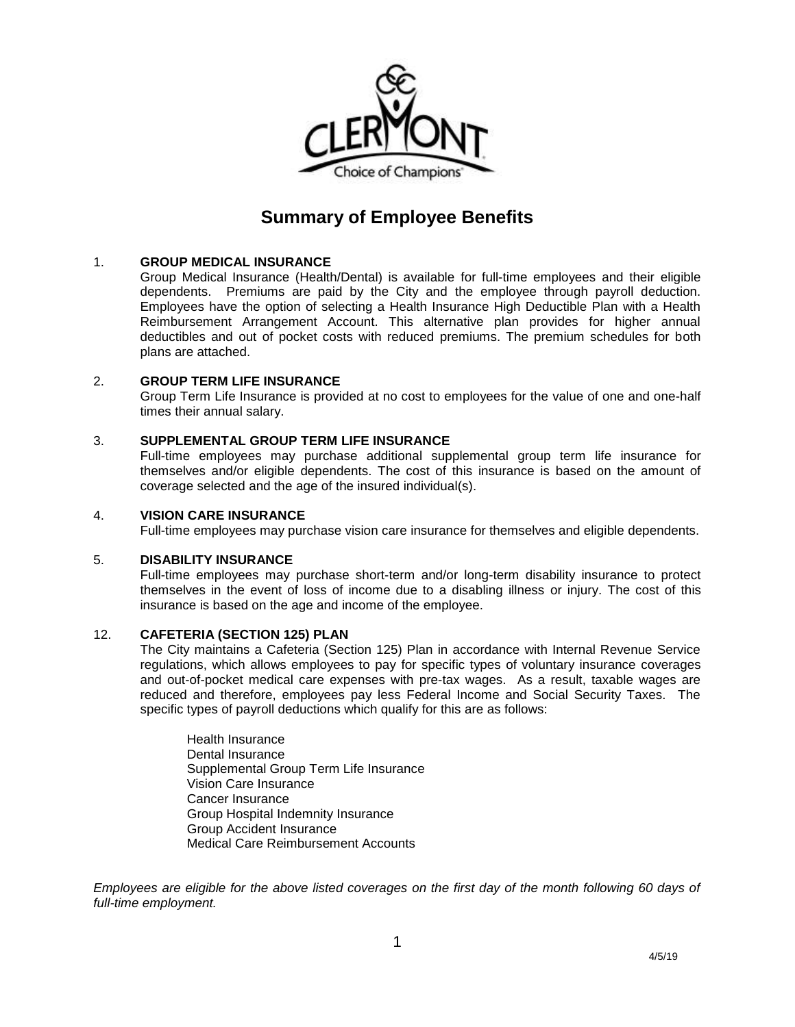

# **Summary of Employee Benefits**

# 1. **GROUP MEDICAL INSURANCE**

Group Medical Insurance (Health/Dental) is available for full-time employees and their eligible dependents. Premiums are paid by the City and the employee through payroll deduction. Employees have the option of selecting a Health Insurance High Deductible Plan with a Health Reimbursement Arrangement Account. This alternative plan provides for higher annual deductibles and out of pocket costs with reduced premiums. The premium schedules for both plans are attached.

## 2. **GROUP TERM LIFE INSURANCE**

Group Term Life Insurance is provided at no cost to employees for the value of one and one-half times their annual salary.

## 3. **SUPPLEMENTAL GROUP TERM LIFE INSURANCE**

Full-time employees may purchase additional supplemental group term life insurance for themselves and/or eligible dependents. The cost of this insurance is based on the amount of coverage selected and the age of the insured individual(s).

## 4. **VISION CARE INSURANCE**

Full-time employees may purchase vision care insurance for themselves and eligible dependents.

## 5. **DISABILITY INSURANCE**

Full-time employees may purchase short-term and/or long-term disability insurance to protect themselves in the event of loss of income due to a disabling illness or injury. The cost of this insurance is based on the age and income of the employee.

# 12. **CAFETERIA (SECTION 125) PLAN**

The City maintains a Cafeteria (Section 125) Plan in accordance with Internal Revenue Service regulations, which allows employees to pay for specific types of voluntary insurance coverages and out-of-pocket medical care expenses with pre-tax wages. As a result, taxable wages are reduced and therefore, employees pay less Federal Income and Social Security Taxes. The specific types of payroll deductions which qualify for this are as follows:

Health Insurance Dental Insurance Supplemental Group Term Life Insurance Vision Care Insurance Cancer Insurance Group Hospital Indemnity Insurance Group Accident Insurance Medical Care Reimbursement Accounts

*Employees are eligible for the above listed coverages on the first day of the month following 60 days of full-time employment.*